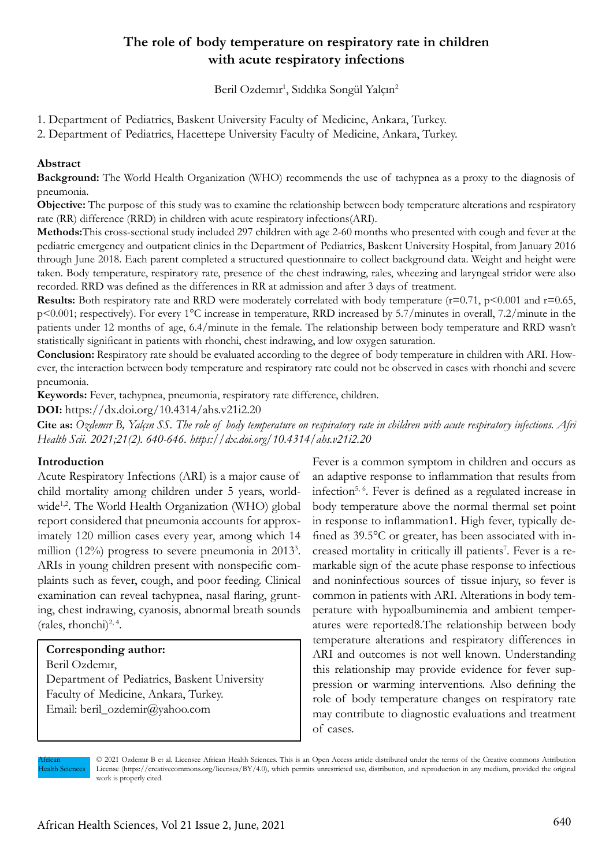# **The role of body temperature on respiratory rate in children with acute respiratory infections**

Beril Ozdemır<sup>1</sup>, Sıddıka Songül Yalçın<sup>2</sup>

1. Department of Pediatrics, Baskent University Faculty of Medicine, Ankara, Turkey.

2. Department of Pediatrics, Hacettepe University Faculty of Medicine, Ankara, Turkey.

## **Abstract**

**Background:** The World Health Organization (WHO) recommends the use of tachypnea as a proxy to the diagnosis of pneumonia.

**Objective:** The purpose of this study was to examine the relationship between body temperature alterations and respiratory rate (RR) difference (RRD) in children with acute respiratory infections(ARI).

**Methods:**This cross-sectional study included 297 children with age 2-60 months who presented with cough and fever at the pediatric emergency and outpatient clinics in the Department of Pediatrics, Baskent University Hospital, from January 2016 through June 2018. Each parent completed a structured questionnaire to collect background data. Weight and height were taken. Body temperature, respiratory rate, presence of the chest indrawing, rales, wheezing and laryngeal stridor were also recorded. RRD was defined as the differences in RR at admission and after 3 days of treatment.

**Results:** Both respiratory rate and RRD were moderately correlated with body temperature  $(r=0.71, p<0.001$  and  $r=0.65$ , p<0.001; respectively). For every 1°C increase in temperature, RRD increased by 5.7/minutes in overall, 7.2/minute in the patients under 12 months of age, 6.4/minute in the female. The relationship between body temperature and RRD wasn't statistically significant in patients with rhonchi, chest indrawing, and low oxygen saturation.

**Conclusion:** Respiratory rate should be evaluated according to the degree of body temperature in children with ARI. However, the interaction between body temperature and respiratory rate could not be observed in cases with rhonchi and severe pneumonia.

**Keywords:** Fever, tachypnea, pneumonia, respiratory rate difference, children.

**DOI:** https://dx.doi.org/10.4314/ahs.v21i2.20

**Cite as:** *Ozdemır B, Yalçın SS. The role of body temperature on respiratory rate in children with acute respiratory infections. Afri Health Scii. 2021;21(2). 640-646. https://dx.doi.org/10.4314/ahs.v21i2.20*

### **Introduction**

Acute Respiratory Infections (ARI) is a major cause of child mortality among children under 5 years, worldwide<sup>1,2</sup>. The World Health Organization (WHO) global report considered that pneumonia accounts for approximately 120 million cases every year, among which 14 million (12%) progress to severe pneumonia in 2013<sup>3</sup>. ARIs in young children present with nonspecific complaints such as fever, cough, and poor feeding. Clinical examination can reveal tachypnea, nasal flaring, grunting, chest indrawing, cyanosis, abnormal breath sounds (rales, rhonchi) $^{2, 4}$ .

### **Corresponding author:**

Beril Ozdemır,

Department of Pediatrics, Baskent University Faculty of Medicine, Ankara, Turkey. Email: beril\_ozdemir@yahoo.com

Fever is a common symptom in children and occurs as an adaptive response to inflammation that results from infection5, 6. Fever is defined as a regulated increase in body temperature above the normal thermal set point in response to inflammation1. High fever, typically defined as 39.5°C or greater, has been associated with increased mortality in critically ill patients<sup>7</sup>. Fever is a remarkable sign of the acute phase response to infectious and noninfectious sources of tissue injury, so fever is common in patients with ARI. Alterations in body temperature with hypoalbuminemia and ambient temperatures were reported8.The relationship between body temperature alterations and respiratory differences in ARI and outcomes is not well known. Understanding this relationship may provide evidence for fever suppression or warming interventions. Also defining the role of body temperature changes on respiratory rate may contribute to diagnostic evaluations and treatment of cases.

African **Health Sciences**  © 2021 Ozdemır B et al. Licensee African Health Sciences. This is an Open Access article distributed under the terms of the Creative commons Attribution License (https://creativecommons.org/licenses/BY/4.0), which permits unrestricted use, distribution, and reproduction in any medium, provided the original work is properly cited.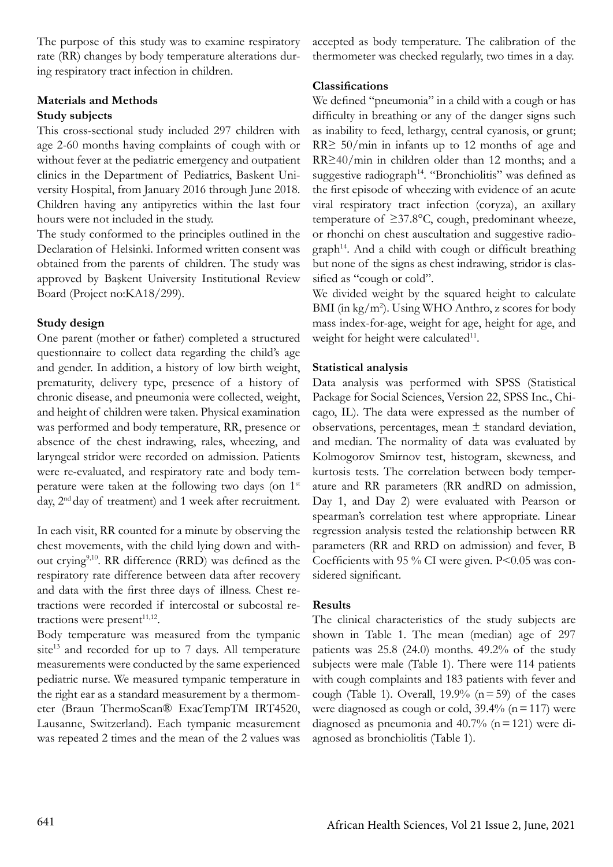The purpose of this study was to examine respiratory rate (RR) changes by body temperature alterations during respiratory tract infection in children.

### **Materials and Methods**

## **Study subjects**

This cross-sectional study included 297 children with age 2-60 months having complaints of cough with or without fever at the pediatric emergency and outpatient clinics in the Department of Pediatrics, Baskent University Hospital, from January 2016 through June 2018. Children having any antipyretics within the last four hours were not included in the study.

The study conformed to the principles outlined in the Declaration of Helsinki. Informed written consent was obtained from the parents of children. The study was approved by Başkent University Institutional Review Board (Project no:KA18/299).

## **Study design**

One parent (mother or father) completed a structured questionnaire to collect data regarding the child's age and gender. In addition, a history of low birth weight, prematurity, delivery type, presence of a history of chronic disease, and pneumonia were collected, weight, and height of children were taken. Physical examination was performed and body temperature, RR, presence or absence of the chest indrawing, rales, wheezing, and laryngeal stridor were recorded on admission. Patients were re-evaluated, and respiratory rate and body temperature were taken at the following two days (on 1st day, 2<sup>nd</sup> day of treatment) and 1 week after recruitment.

In each visit, RR counted for a minute by observing the chest movements, with the child lying down and without crying9,10. RR difference (RRD) was defined as the respiratory rate difference between data after recovery and data with the first three days of illness. Chest retractions were recorded if intercostal or subcostal retractions were present $11,12$ .

Body temperature was measured from the tympanic site<sup>13</sup> and recorded for up to  $7$  days. All temperature measurements were conducted by the same experienced pediatric nurse. We measured tympanic temperature in the right ear as a standard measurement by a thermometer (Braun ThermoScan® ExacTempTM IRT4520, Lausanne, Switzerland). Each tympanic measurement was repeated 2 times and the mean of the 2 values was accepted as body temperature. The calibration of the thermometer was checked regularly, two times in a day.

## **Classifications**

We defined "pneumonia" in a child with a cough or has difficulty in breathing or any of the danger signs such as inability to feed, lethargy, central cyanosis, or grunt; RR≥ 50/min in infants up to 12 months of age and RR≥40/min in children older than 12 months; and a suggestive radiograph<sup>14</sup>. "Bronchiolitis" was defined as the first episode of wheezing with evidence of an acute viral respiratory tract infection (coryza), an axillary temperature of  $\geq 37.8^{\circ}$ C, cough, predominant wheeze, or rhonchi on chest auscultation and suggestive radio $graph<sup>14</sup>$ . And a child with cough or difficult breathing but none of the signs as chest indrawing, stridor is classified as "cough or cold".

We divided weight by the squared height to calculate BMI (in kg/m<sup>2</sup> ). Using WHO Anthro, z scores for body mass index-for-age, weight for age, height for age, and weight for height were calculated<sup>11</sup>.

## **Statistical analysis**

Data analysis was performed with SPSS (Statistical Package for Social Sciences, Version 22, SPSS Inc., Chicago, IL). The data were expressed as the number of observations, percentages, mean  $\pm$  standard deviation, and median. The normality of data was evaluated by Kolmogorov Smirnov test, histogram, skewness, and kurtosis tests. The correlation between body temperature and RR parameters (RR andRD on admission, Day 1, and Day 2) were evaluated with Pearson or spearman's correlation test where appropriate. Linear regression analysis tested the relationship between RR parameters (RR and RRD on admission) and fever, B Coefficients with 95 % CI were given. P<0.05 was considered significant.

## **Results**

The clinical characteristics of the study subjects are shown in Table 1. The mean (median) age of 297 patients was 25.8 (24.0) months. 49.2% of the study subjects were male (Table 1). There were 114 patients with cough complaints and 183 patients with fever and cough (Table 1). Overall, 19.9%  $(n=59)$  of the cases were diagnosed as cough or cold,  $39.4\%$  (n = 117) were diagnosed as pneumonia and  $40.7\%$  (n = 121) were diagnosed as bronchiolitis (Table 1).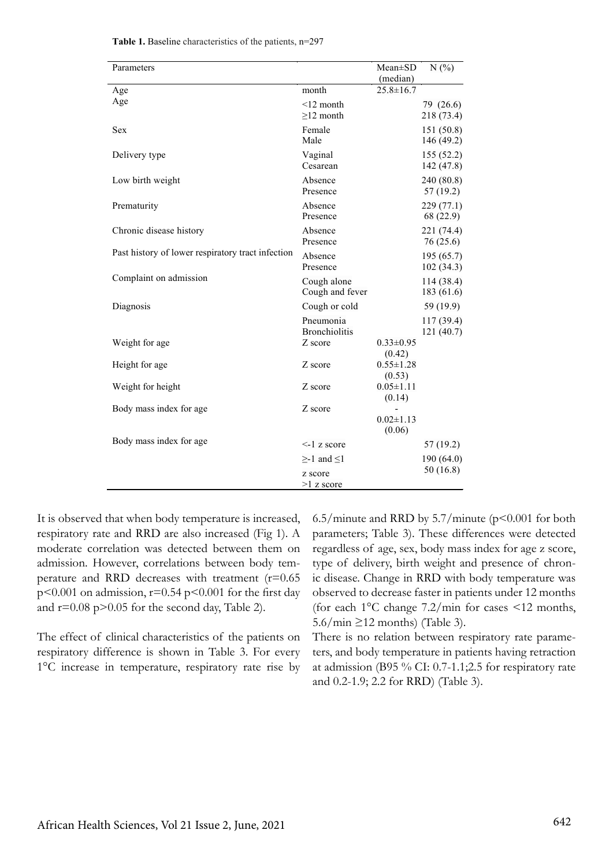| Parameters                                        |                                   | $Mean \pm SD$               | N(%)                     |
|---------------------------------------------------|-----------------------------------|-----------------------------|--------------------------|
| Age                                               | month                             | (median)<br>$25.8 \pm 16.7$ |                          |
| Age                                               | $<$ 12 month<br>$\geq$ 12 month   |                             | 79 (26.6)<br>218 (73.4)  |
| <b>Sex</b>                                        | Female<br>Male                    |                             | 151 (50.8)<br>146 (49.2) |
| Delivery type                                     | Vaginal<br>Cesarean               |                             | 155(52.2)<br>142 (47.8)  |
| Low birth weight                                  | Absence<br>Presence               |                             | 240 (80.8)<br>57 (19.2)  |
| Prematurity                                       | Absence<br>Presence               |                             | 229 (77.1)<br>68 (22.9)  |
| Chronic disease history                           | Absence<br>Presence               |                             | 221 (74.4)<br>76 (25.6)  |
| Past history of lower respiratory tract infection | Absence<br>Presence               |                             | 195 (65.7)<br>102(34.3)  |
| Complaint on admission                            | Cough alone<br>Cough and fever    |                             | 114 (38.4)<br>183 (61.6) |
| Diagnosis                                         | Cough or cold                     |                             | 59 (19.9)                |
|                                                   | Pneumonia<br><b>Bronchiolitis</b> |                             | 117 (39.4)               |
| Weight for age                                    | Z score                           | $0.33 \pm 0.95$<br>(0.42)   | 121 (40.7)               |
| Height for age                                    | Z score                           | $0.55 \pm 1.28$<br>(0.53)   |                          |
| Weight for height                                 | Z score                           | $0.05 \pm 1.11$<br>(0.14)   |                          |
| Body mass index for age                           | Z score                           | $0.02 \pm 1.13$<br>(0.06)   |                          |
| Body mass index for age                           | $\leq$ -1 z score                 |                             | 57 (19.2)                |
|                                                   | $\geq$ -1 and $\leq$ 1            |                             | 190(64.0)                |
|                                                   | z score<br>$>1$ z score           |                             | 50(16.8)                 |

**Table 1.** Baseline characteristics of the patients, n=297

It is observed that when body temperature is increased, respiratory rate and RRD are also increased (Fig 1). A moderate correlation was detected between them on admission. However, correlations between body temperature and RRD decreases with treatment (r=0.65  $p<0.001$  on admission,  $r=0.54$   $p<0.001$  for the first day and  $r=0.08$  p $>0.05$  for the second day, Table 2).

The effect of clinical characteristics of the patients on respiratory difference is shown in Table 3. For every 1°C increase in temperature, respiratory rate rise by 6.5/minute and RRD by 5.7/minute  $(p<0.001$  for both parameters; Table 3). These differences were detected regardless of age, sex, body mass index for age z score, type of delivery, birth weight and presence of chronic disease. Change in RRD with body temperature was observed to decrease faster in patients under 12 months (for each 1°C change 7.2/min for cases <12 months,  $5.6/min \ge 12 months$  (Table 3).

There is no relation between respiratory rate parameters, and body temperature in patients having retraction at admission (B95 % CI: 0.7-1.1;2.5 for respiratory rate and 0.2-1.9; 2.2 for RRD) (Table 3).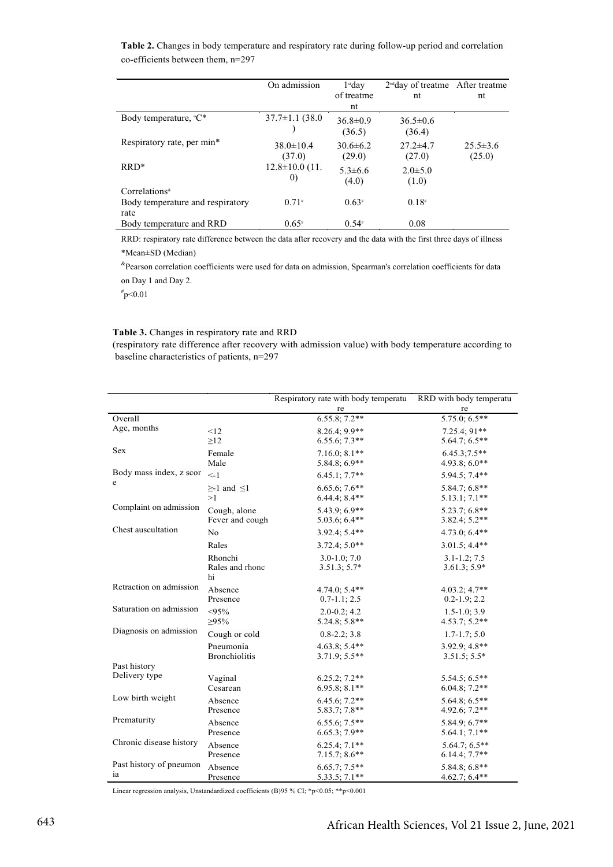**Table 2.** Changes in body temperature and respiratory rate during follow-up period and correlation co-efficients between them, n=297

|                                          | On admission                              | $1st$ dav<br>of treatme<br>nt | $2nd$ day of treatme After treatme<br>nt | nt                       |
|------------------------------------------|-------------------------------------------|-------------------------------|------------------------------------------|--------------------------|
| Body temperature, ${}^{\circ}C^*$        | $37.7 \pm 1.1$ (38.0)                     | $36.8 \pm 0.9$<br>(36.5)      | $36.5 \pm 0.6$<br>(36.4)                 |                          |
| Respiratory rate, per min*               | $38.0 \pm 10.4$<br>(37.0)                 | $30.6\pm 6.2$<br>(29.0)       | $27.2 \pm 4.7$<br>(27.0)                 | $25.5 \pm 3.6$<br>(25.0) |
| $RRD*$                                   | $12.8 \pm 10.0$ (11.<br>$\left( 0\right)$ | $5.3\pm 6.6$<br>(4.0)         | $2.0 \pm 5.0$<br>(1.0)                   |                          |
| $Correlations^*$                         |                                           |                               |                                          |                          |
| Body temperature and respiratory<br>rate | $0.71*$                                   | $0.63*$                       | $0.18*$                                  |                          |
| Body temperature and RRD                 | $0.65*$                                   | $0.54*$                       | 0.08                                     |                          |

RRD: respiratory rate difference between the data after recovery and the data with the first three days of illness \*Mean±SD (Median)

&Pearson correlation coefficients were used for data on admission, Spearman's correlation coefficients for data on Day 1 and Day 2.

# p<0.01

#### **Table 3.** Changes in respiratory rate and RRD

(respiratory rate difference after recovery with admission value) with body temperature according to baseline characteristics of patients, n=297

|                              |                        | Respiratory rate with body temperatu | RRD with body temperatu |
|------------------------------|------------------------|--------------------------------------|-------------------------|
|                              |                        | re                                   | re                      |
| Overall                      |                        | $6.55.8; 7.2**$                      | $5.75.0; 6.5**$         |
| Age, months                  | <12                    | $8.26.4; 9.9**$                      | $7.25.4; 91**$          |
|                              | $\geq$ 12              | $6.55.6; 7.3**$                      | $5.64.7; 6.5**$         |
| Sex                          | Female                 | $7.16.0; 8.1**$                      | $6.45.3;7.5**$          |
|                              | Male                   | 5.84.8; 6.9**                        | 4.93.8; $6.0**$         |
| Body mass index, z scor<br>e | $\lt-1$                | $6.45.1; 7.7**$                      | 5.94.5; 7.4**           |
|                              | $\geq$ -1 and $\leq$ 1 | $6.65.6; 7.6**$                      | $5.84.7; 6.8**$         |
|                              | >1                     | $6.44.4$ ; $8.4**$                   | $5.13.1; 7.1**$         |
| Complaint on admission       | Cough, alone           | 5.43.9; 6.9**                        | 5.23.7; 6.8**           |
|                              | Fever and cough        | $5.03.6; 6.4**$                      | $3.82.4; 5.2**$         |
| Chest auscultation           | N <sub>0</sub>         | 3.92.4; 5.4**                        | 4.73.0; 6.4**           |
|                              | Rales                  | $3.72.4; 5.0**$                      | $3.01.5; 4.4**$         |
|                              | Rhonchi                | $3.0 - 1.0; 7.0$                     | $3.1 - 1.2$ ; 7.5       |
|                              | Rales and rhonc        | $3.51.3; 5.7*$                       | $3.61.3; 5.9*$          |
|                              | hi                     |                                      |                         |
| Retraction on admission      | Absence                | $4.74.0; 5.4**$                      | $4.03.2; 4.7**$         |
|                              | Presence               | $0.7 - 1.1$ ; 2.5                    | $0.2 - 1.9; 2.2$        |
| Saturation on admission      | < 95%                  | $2.0 - 0.2; 4.2$                     | $1.5 - 1.0; 3.9$        |
|                              | $\geq 95\%$            | $5.24.8; 5.8**$                      | $4.53.7; 5.2**$         |
| Diagnosis on admission       | Cough or cold          | $0.8 - 2.2$ ; 3.8                    | $1.7 - 1.7$ ; 5.0       |
|                              | Pneumonia              | $4.63.8; 5.4**$                      | $3.92.9; 4.8**$         |
|                              | <b>Bronchiolitis</b>   | $3.71.9; 5.5**$                      | $3.51.5; 5.5*$          |
| Past history                 |                        |                                      |                         |
| Delivery type                | Vaginal                | $6.25.2; 7.2**$                      | $5.54.5; 6.5**$         |
|                              | Cesarean               | $6.95.8; 8.1**$                      | $6.04.8; 7.2**$         |
| Low birth weight             | Absence                | 6.45.6; 7.2**                        | $5.64.8; 6.5**$         |
|                              | Presence               | 5.83.7; 7.8**                        | 4.92.6; 7.2**           |
| Prematurity                  | Absence                | $6.55.6; 7.5**$                      | $5.84.9; 6.7**$         |
|                              | Presence               | $6.65.3; 7.9**$                      | $5.64.1; 7.1**$         |
| Chronic disease history      | Absence                | $6.25.4; 7.1**$                      | $5.64.7; 6.5**$         |
|                              | Presence               | $7.15.7; 8.6**$                      | $6.14.4; 7.7**$         |
| Past history of pneumon      | Absence                | $6.65.7; 7.5**$                      | $5.84.8; 6.8**$         |
| ia                           | Presence               | $5.33.5; 7.1**$                      | 4.62.7; 6.4**           |

Linear regression analysis, Unstandardized coefficients (B)95 % CI; \*p<0.05; \*\*p<0.001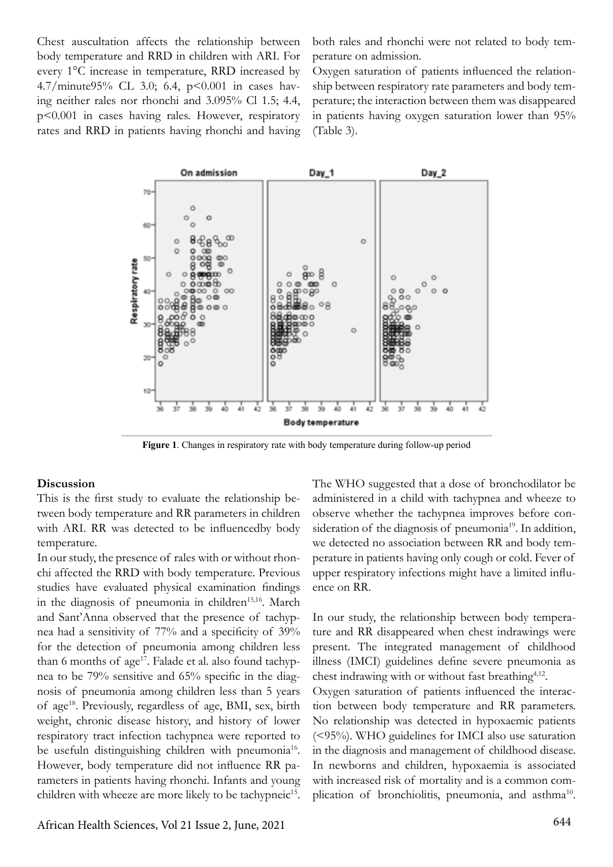Chest auscultation affects the relationship between body temperature and RRD in children with ARI. For every 1°C increase in temperature, RRD increased by 4.7/minute95% CL 3.0; 6.4, p<0.001 in cases having neither rales nor rhonchi and 3.095% Cl 1.5; 4.4, p<0.001 in cases having rales. However, respiratory rates and RRD in patients having rhonchi and having both rales and rhonchi were not related to body temperature on admission.

Oxygen saturation of patients influenced the relationship between respiratory rate parameters and body temperature; the interaction between them was disappeared in patients having oxygen saturation lower than 95% (Table 3).



**Figure 1**. Changes in respiratory rate with body temperature during follow-up period

#### **Discussion**

This is the first study to evaluate the relationship between body temperature and RR parameters in children with ARI. RR was detected to be influencedby body temperature.

In our study, the presence of rales with or without rhonchi affected the RRD with body temperature. Previous studies have evaluated physical examination findings in the diagnosis of pneumonia in children<sup>15,16</sup>. March and Sant'Anna observed that the presence of tachypnea had a sensitivity of 77% and a specificity of 39% for the detection of pneumonia among children less than 6 months of age<sup>17</sup>. Falade et al. also found tachypnea to be 79% sensitive and 65% specific in the diagnosis of pneumonia among children less than 5 years of age18. Previously, regardless of age, BMI, sex, birth weight, chronic disease history, and history of lower respiratory tract infection tachypnea were reported to be usefuln distinguishing children with pneumonia<sup>16</sup>. However, body temperature did not influence RR parameters in patients having rhonchi. Infants and young children with wheeze are more likely to be tachypneic<sup>15</sup>.

The WHO suggested that a dose of bronchodilator be administered in a child with tachypnea and wheeze to observe whether the tachypnea improves before consideration of the diagnosis of pneumonia<sup>19</sup>. In addition, we detected no association between RR and body temperature in patients having only cough or cold. Fever of upper respiratory infections might have a limited influence on RR.

In our study, the relationship between body temperature and RR disappeared when chest indrawings were present. The integrated management of childhood illness (IMCI) guidelines define severe pneumonia as chest indrawing with or without fast breathing<sup>4,12</sup>.

Oxygen saturation of patients influenced the interaction between body temperature and RR parameters. No relationship was detected in hypoxaemic patients (<95%). WHO guidelines for IMCI also use saturation in the diagnosis and management of childhood disease. In newborns and children, hypoxaemia is associated with increased risk of mortality and is a common complication of bronchiolitis, pneumonia, and asthma<sup>10</sup>.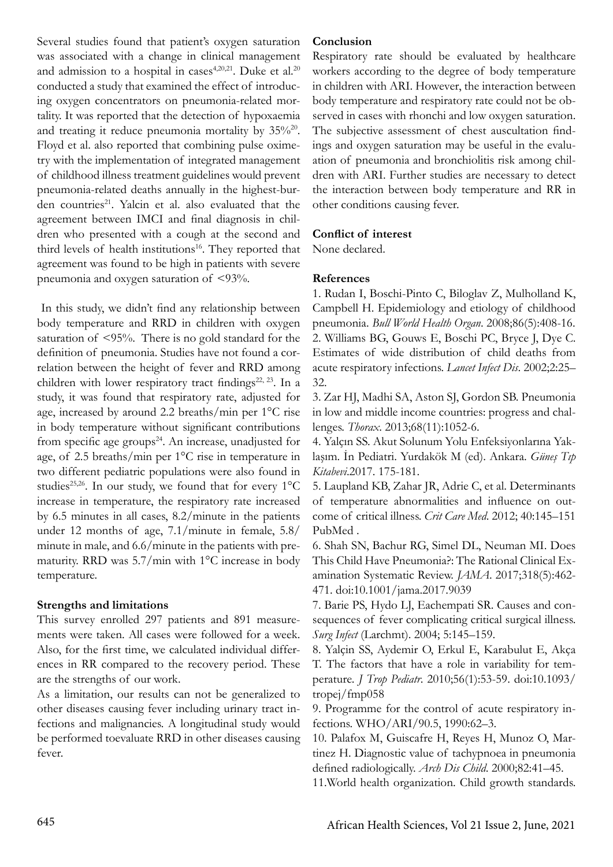Several studies found that patient's oxygen saturation was associated with a change in clinical management and admission to a hospital in cases<sup>4,20,21</sup>. Duke et al.<sup>20</sup> conducted a study that examined the effect of introducing oxygen concentrators on pneumonia-related mortality. It was reported that the detection of hypoxaemia and treating it reduce pneumonia mortality by  $35\%^{20}$ . Floyd et al. also reported that combining pulse oximetry with the implementation of integrated management of childhood illness treatment guidelines would prevent pneumonia-related deaths annually in the highest-burden countries<sup>21</sup>. Yalcin et al. also evaluated that the agreement between IMCI and final diagnosis in children who presented with a cough at the second and third levels of health institutions<sup>16</sup>. They reported that agreement was found to be high in patients with severe pneumonia and oxygen saturation of <93%.

 In this study, we didn't find any relationship between body temperature and RRD in children with oxygen saturation of <95%. There is no gold standard for the definition of pneumonia. Studies have not found a correlation between the height of fever and RRD among children with lower respiratory tract findings<sup>22, 23</sup>. In a study, it was found that respiratory rate, adjusted for age, increased by around 2.2 breaths/min per 1°C rise in body temperature without significant contributions from specific age groups<sup>24</sup>. An increase, unadjusted for age, of 2.5 breaths/min per 1°C rise in temperature in two different pediatric populations were also found in studies<sup>25,26</sup>. In our study, we found that for every  $1^{\circ}C$ increase in temperature, the respiratory rate increased by 6.5 minutes in all cases, 8.2/minute in the patients under 12 months of age, 7.1/minute in female, 5.8/ minute in male, and 6.6/minute in the patients with prematurity. RRD was 5.7/min with 1°C increase in body temperature.

## **Strengths and limitations**

This survey enrolled 297 patients and 891 measurements were taken. All cases were followed for a week. Also, for the first time, we calculated individual differences in RR compared to the recovery period. These are the strengths of our work.

As a limitation, our results can not be generalized to other diseases causing fever including urinary tract infections and malignancies. A longitudinal study would be performed toevaluate RRD in other diseases causing fever.

#### **Conclusion**

Respiratory rate should be evaluated by healthcare workers according to the degree of body temperature in children with ARI. However, the interaction between body temperature and respiratory rate could not be observed in cases with rhonchi and low oxygen saturation. The subjective assessment of chest auscultation findings and oxygen saturation may be useful in the evaluation of pneumonia and bronchiolitis risk among children with ARI. Further studies are necessary to detect the interaction between body temperature and RR in other conditions causing fever.

## **Conflict of interest**

None declared.

## **References**

1. Rudan I, Boschi-Pinto C, Biloglav Z, Mulholland K, Campbell H. Epidemiology and etiology of childhood pneumonia. *Bull World Health Organ*. 2008;86(5):408-16. 2. Williams BG, Gouws E, Boschi PC, Bryce J, Dye C. Estimates of wide distribution of child deaths from acute respiratory infections. *Lancet Infect Dis*. 2002;2:25– 32.

3. Zar HJ, Madhi SA, Aston SJ, Gordon SB. Pneumonia in low and middle income countries: progress and challenges. *Thorax*. 2013;68(11):1052-6.

4. Yalçın SS. Akut Solunum Yolu Enfeksiyonlarına Yaklaşım. İn Pediatri. Yurdakök M (ed). Ankara. *Güneş Tıp Kitabevi*.2017. 175-181.

5. Laupland KB, Zahar JR, Adrie C, et al. Determinants of temperature abnormalities and influence on outcome of critical illness. *Crit Care Med*. 2012; 40:145–151 PubMed .

6. Shah SN, Bachur RG, Simel DL, Neuman MI. Does This Child Have Pneumonia?: The Rational Clinical Examination Systematic Review. *JAMA*. 2017;318(5):462- 471. doi:10.1001/jama.2017.9039

7. Barie PS, Hydo LJ, Eachempati SR. Causes and consequences of fever complicating critical surgical illness. *Surg Infect* (Larchmt). 2004; 5:145–159.

8. Yalçin SS, Aydemir O, Erkul E, Karabulut E, Akça T. The factors that have a role in variability for temperature. *J Trop Pediatr*. 2010;56(1):53-59. doi:10.1093/ tropej/fmp058

9. Programme for the control of acute respiratory infections. WHO/ARI/90.5, 1990:62–3.

10. Palafox M, Guiscafre H, Reyes H, Munoz O, Martinez H. Diagnostic value of tachypnoea in pneumonia defined radiologically. *Arch Dis Child*. 2000;82:41–45.

11.World health organization. Child growth standards.